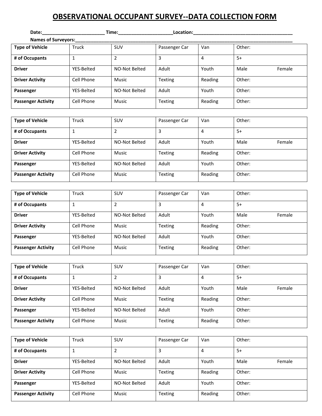## **OBSERVATIONAL OCCUPANT SURVEY--DATA COLLECTION FORM**

| Date:_________             |            | Time:         | Location:     |         |        |        |
|----------------------------|------------|---------------|---------------|---------|--------|--------|
| <b>Names of Surveyors:</b> |            |               |               |         |        |        |
| <b>Type of Vehicle</b>     | Truck      | SUV           | Passenger Car | Van     | Other: |        |
| # of Occupants             |            | 2             | 3             | 4       | $5+$   |        |
| <b>Driver</b>              | YES-Belted | NO-Not Belted | Adult         | Youth   | Male   | Female |
| <b>Driver Activity</b>     | Cell Phone | <b>Music</b>  | Texting       | Reading | Other: |        |
| Passenger                  | YES-Belted | NO-Not Belted | Adult         | Youth   | Other: |        |
| <b>Passenger Activity</b>  | Cell Phone | Music         | Texting       | Reading | Other: |        |

| <b>Type of Vehicle</b>    | Truck      | SUV           | Passenger Car | Van     | Other:         |
|---------------------------|------------|---------------|---------------|---------|----------------|
| # of Occupants            | 1          | 2             |               | 4       | $5+$           |
| <b>Driver</b>             | YES-Belted | NO-Not Belted | Adult         | Youth   | Male<br>Female |
| <b>Driver Activity</b>    | Cell Phone | Music         | Texting       | Reading | Other:         |
| Passenger                 | YES-Belted | NO-Not Belted | Adult         | Youth   | Other:         |
| <b>Passenger Activity</b> | Cell Phone | Music         | Texting       | Reading | Other:         |

| <b>Type of Vehicle</b>    | Truck      | SUV           | Passenger Car  | Van     | Other:         |
|---------------------------|------------|---------------|----------------|---------|----------------|
| # of Occupants            |            | 2             |                | 4       | $5+$           |
| <b>Driver</b>             | YES-Belted | NO-Not Belted | Adult          | Youth   | Male<br>Female |
| <b>Driver Activity</b>    | Cell Phone | Music         | Texting        | Reading | Other:         |
| Passenger                 | YES-Belted | NO-Not Belted | Adult          | Youth   | Other:         |
| <b>Passenger Activity</b> | Cell Phone | Music         | <b>Texting</b> | Reading | Other:         |

| <b>Type of Vehicle</b>    | Truck      | SUV           | Passenger Car  | Van     | Other:         |
|---------------------------|------------|---------------|----------------|---------|----------------|
| # of Occupants            |            | 2             |                | 4       | $5+$           |
| <b>Driver</b>             | YES-Belted | NO-Not Belted | Adult          | Youth   | Male<br>Female |
| <b>Driver Activity</b>    | Cell Phone | Music         | Texting        | Reading | Other:         |
| Passenger                 | YES-Belted | NO-Not Belted | Adult          | Youth   | Other:         |
| <b>Passenger Activity</b> | Cell Phone | Music         | <b>Texting</b> | Reading | Other:         |

| <b>Type of Vehicle</b>    | Truck      | SUV           | Passenger Car  | Van     | Other:         |
|---------------------------|------------|---------------|----------------|---------|----------------|
| # of Occupants            |            |               | 3              | 4       | $5+$           |
| <b>Driver</b>             | YES-Belted | NO-Not Belted | Adult          | Youth   | Male<br>Female |
| <b>Driver Activity</b>    | Cell Phone | Music         | <b>Texting</b> | Reading | Other:         |
| Passenger                 | YES-Belted | NO-Not Belted | Adult          | Youth   | Other:         |
| <b>Passenger Activity</b> | Cell Phone | Music         | Texting        | Reading | Other:         |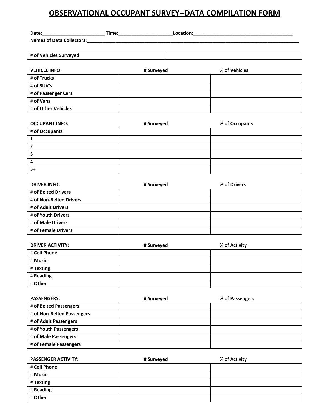## **OBSERVATIONAL OCCUPANT SURVEY--DATA COMPILATION FORM**

| Date:______________________      | Time:______________ |            | Location: |               |  |
|----------------------------------|---------------------|------------|-----------|---------------|--|
| <b>Names of Data Collectors:</b> |                     |            |           |               |  |
|                                  |                     |            |           |               |  |
| # of Vehicles Surveyed           |                     |            |           |               |  |
|                                  |                     |            |           |               |  |
| <b>VEHICLE INFO:</b>             |                     | # Surveyed |           | % of Vehicles |  |
| # of Trucks                      |                     |            |           |               |  |
| # of SUV's                       |                     |            |           |               |  |
| # of Passenger Cars              |                     |            |           |               |  |
| # of Vans                        |                     |            |           |               |  |
| # of Other Vehicles              |                     |            |           |               |  |

| <b>OCCUPANT INFO:</b> | # Surveyed | % of Occupants |
|-----------------------|------------|----------------|
| # of Occupants        |            |                |
|                       |            |                |
|                       |            |                |
|                       |            |                |
| 4                     |            |                |
| $5+$                  |            |                |

| <b>DRIVER INFO:</b>     | # Surveyed | % of Drivers |
|-------------------------|------------|--------------|
| # of Belted Drivers     |            |              |
| # of Non-Belted Drivers |            |              |
| # of Adult Drivers      |            |              |
| # of Youth Drivers      |            |              |
| # of Male Drivers       |            |              |
| # of Female Drivers     |            |              |

| <b>DRIVER ACTIVITY:</b> | # Surveyed | % of Activity |
|-------------------------|------------|---------------|
| # Cell Phone            |            |               |
| # Music                 |            |               |
| # Texting               |            |               |
| # Reading               |            |               |
| # Other                 |            |               |

| <b>PASSENGERS:</b>         | # Surveyed | % of Passengers |
|----------------------------|------------|-----------------|
| # of Belted Passengers     |            |                 |
| # of Non-Belted Passengers |            |                 |
| # of Adult Passengers      |            |                 |
| # of Youth Passengers      |            |                 |
| # of Male Passengers       |            |                 |
| # of Female Passengers     |            |                 |

| <b>PASSENGER ACTIVITY:</b> | # Surveyed | % of Activity |
|----------------------------|------------|---------------|
| # Cell Phone               |            |               |
| # Music                    |            |               |
| # Texting                  |            |               |
| # Reading                  |            |               |
| # Other                    |            |               |